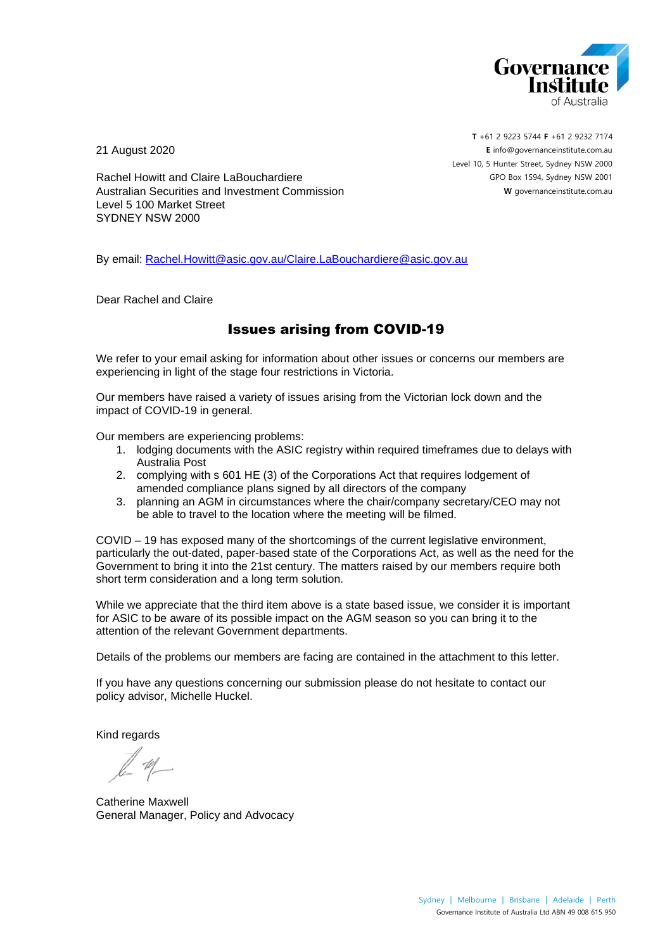

21 August 2020

**T** +61 2 9223 5744 **F** +61 2 9232 7174 **E** [info@governanceinstitute.com.au](about:blank) Level 10, 5 Hunter Street, Sydney NSW 2000 GPO Box 1594, Sydney NSW 2001 **W** governanceinstitute.com.au

Rachel Howitt and Claire LaBouchardiere Australian Securities and Investment Commission Level 5 100 Market Street SYDNEY NSW 2000

By email: [Rachel.Howitt@asic.gov.au/Claire.LaBouchardiere@asic.gov.au](about:blank)

Dear Rachel and Claire

# Issues arising from COVID-19

We refer to your email asking for information about other issues or concerns our members are experiencing in light of the stage four restrictions in Victoria.

Our members have raised a variety of issues arising from the Victorian lock down and the impact of COVID-19 in general.

Our members are experiencing problems:

- 1. lodging documents with the ASIC registry within required timeframes due to delays with Australia Post
- 2. complying with s 601 HE (3) of the Corporations Act that requires lodgement of amended compliance plans signed by all directors of the company
- 3. planning an AGM in circumstances where the chair/company secretary/CEO may not be able to travel to the location where the meeting will be filmed.

COVID – 19 has exposed many of the shortcomings of the current legislative environment, particularly the out-dated, paper-based state of the Corporations Act, as well as the need for the Government to bring it into the 21st century. The matters raised by our members require both short term consideration and a long term solution.

While we appreciate that the third item above is a state based issue, we consider it is important for ASIC to be aware of its possible impact on the AGM season so you can bring it to the attention of the relevant Government departments.

Details of the problems our members are facing are contained in the attachment to this letter.

If you have any questions concerning our submission please do not hesitate to contact our policy advisor, Michelle Huckel.

Kind regards

Catherine Maxwell General Manager, Policy and Advocacy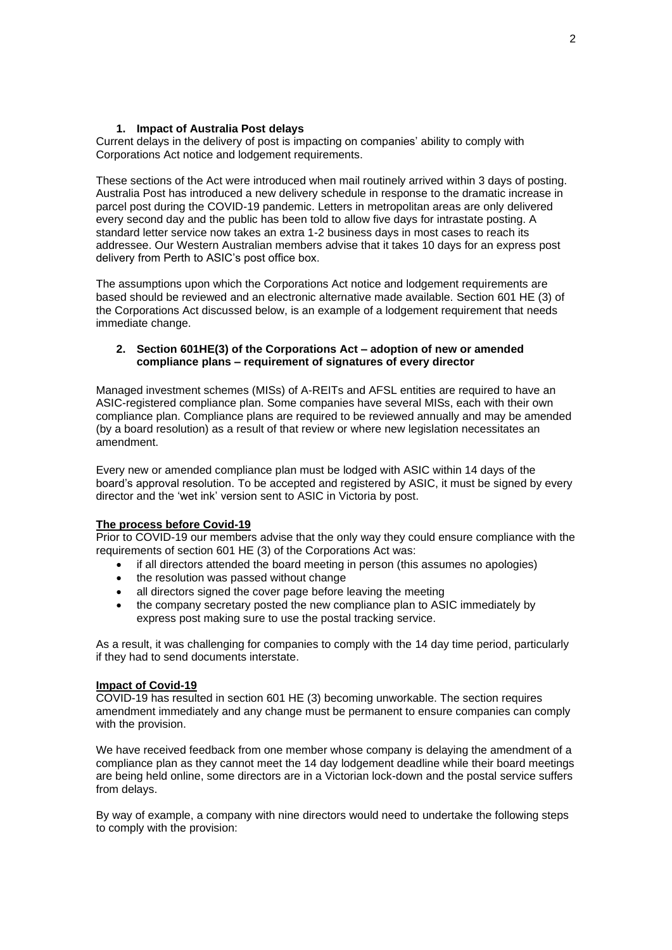# **1. Impact of Australia Post delays**

Current delays in the delivery of post is impacting on companies' ability to comply with Corporations Act notice and lodgement requirements.

These sections of the Act were introduced when mail routinely arrived within 3 days of posting. Australia Post has introduced a new delivery schedule in response to the dramatic increase in parcel post during the COVID-19 pandemic. Letters in metropolitan areas are only delivered every second day and the public has been told to allow five days for intrastate posting. A standard letter service now takes an extra 1-2 business days in most cases to reach its addressee. Our Western Australian members advise that it takes 10 days for an express post delivery from Perth to ASIC's post office box.

The assumptions upon which the Corporations Act notice and lodgement requirements are based should be reviewed and an electronic alternative made available. Section 601 HE (3) of the Corporations Act discussed below, is an example of a lodgement requirement that needs immediate change.

## **2. Section 601HE(3) of the Corporations Act – adoption of new or amended compliance plans – requirement of signatures of every director**

Managed investment schemes (MISs) of A-REITs and AFSL entities are required to have an ASIC-registered compliance plan. Some companies have several MISs, each with their own compliance plan. Compliance plans are required to be reviewed annually and may be amended (by a board resolution) as a result of that review or where new legislation necessitates an amendment.

Every new or amended compliance plan must be lodged with ASIC within 14 days of the board's approval resolution. To be accepted and registered by ASIC, it must be signed by every director and the 'wet ink' version sent to ASIC in Victoria by post.

#### **The process before Covid-19**

Prior to COVID-19 our members advise that the only way they could ensure compliance with the requirements of section 601 HE (3) of the Corporations Act was:

- if all directors attended the board meeting in person (this assumes no apologies)
- the resolution was passed without change
- all directors signed the cover page before leaving the meeting
- the company secretary posted the new compliance plan to ASIC immediately by express post making sure to use the postal tracking service.

As a result, it was challenging for companies to comply with the 14 day time period, particularly if they had to send documents interstate.

## **Impact of Covid-19**

COVID-19 has resulted in section 601 HE (3) becoming unworkable. The section requires amendment immediately and any change must be permanent to ensure companies can comply with the provision.

We have received feedback from one member whose company is delaying the amendment of a compliance plan as they cannot meet the 14 day lodgement deadline while their board meetings are being held online, some directors are in a Victorian lock-down and the postal service suffers from delays.

By way of example, a company with nine directors would need to undertake the following steps to comply with the provision: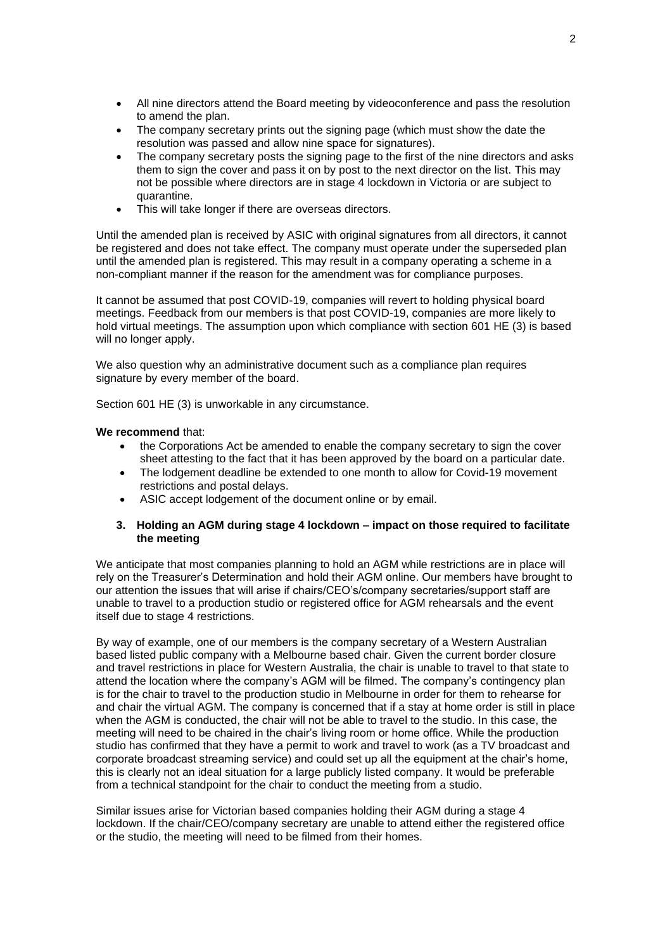- All nine directors attend the Board meeting by videoconference and pass the resolution to amend the plan.
- The company secretary prints out the signing page (which must show the date the resolution was passed and allow nine space for signatures).
- The company secretary posts the signing page to the first of the nine directors and asks them to sign the cover and pass it on by post to the next director on the list. This may not be possible where directors are in stage 4 lockdown in Victoria or are subject to quarantine.
- This will take longer if there are overseas directors.

Until the amended plan is received by ASIC with original signatures from all directors, it cannot be registered and does not take effect. The company must operate under the superseded plan until the amended plan is registered. This may result in a company operating a scheme in a non-compliant manner if the reason for the amendment was for compliance purposes.

It cannot be assumed that post COVID-19, companies will revert to holding physical board meetings. Feedback from our members is that post COVID-19, companies are more likely to hold virtual meetings. The assumption upon which compliance with section 601 HE (3) is based will no longer apply.

We also question why an administrative document such as a compliance plan requires signature by every member of the board.

Section 601 HE (3) is unworkable in any circumstance.

#### **We recommend** that:

- the Corporations Act be amended to enable the company secretary to sign the cover sheet attesting to the fact that it has been approved by the board on a particular date.
- The lodgement deadline be extended to one month to allow for Covid-19 movement restrictions and postal delays.
- ASIC accept lodgement of the document online or by email.

# **3. Holding an AGM during stage 4 lockdown – impact on those required to facilitate the meeting**

We anticipate that most companies planning to hold an AGM while restrictions are in place will rely on the Treasurer's Determination and hold their AGM online. Our members have brought to our attention the issues that will arise if chairs/CEO's/company secretaries/support staff are unable to travel to a production studio or registered office for AGM rehearsals and the event itself due to stage 4 restrictions.

By way of example, one of our members is the company secretary of a Western Australian based listed public company with a Melbourne based chair. Given the current border closure and travel restrictions in place for Western Australia, the chair is unable to travel to that state to attend the location where the company's AGM will be filmed. The company's contingency plan is for the chair to travel to the production studio in Melbourne in order for them to rehearse for and chair the virtual AGM. The company is concerned that if a stay at home order is still in place when the AGM is conducted, the chair will not be able to travel to the studio. In this case, the meeting will need to be chaired in the chair's living room or home office. While the production studio has confirmed that they have a permit to work and travel to work (as a TV broadcast and corporate broadcast streaming service) and could set up all the equipment at the chair's home, this is clearly not an ideal situation for a large publicly listed company. It would be preferable from a technical standpoint for the chair to conduct the meeting from a studio.

Similar issues arise for Victorian based companies holding their AGM during a stage 4 lockdown. If the chair/CEO/company secretary are unable to attend either the registered office or the studio, the meeting will need to be filmed from their homes.